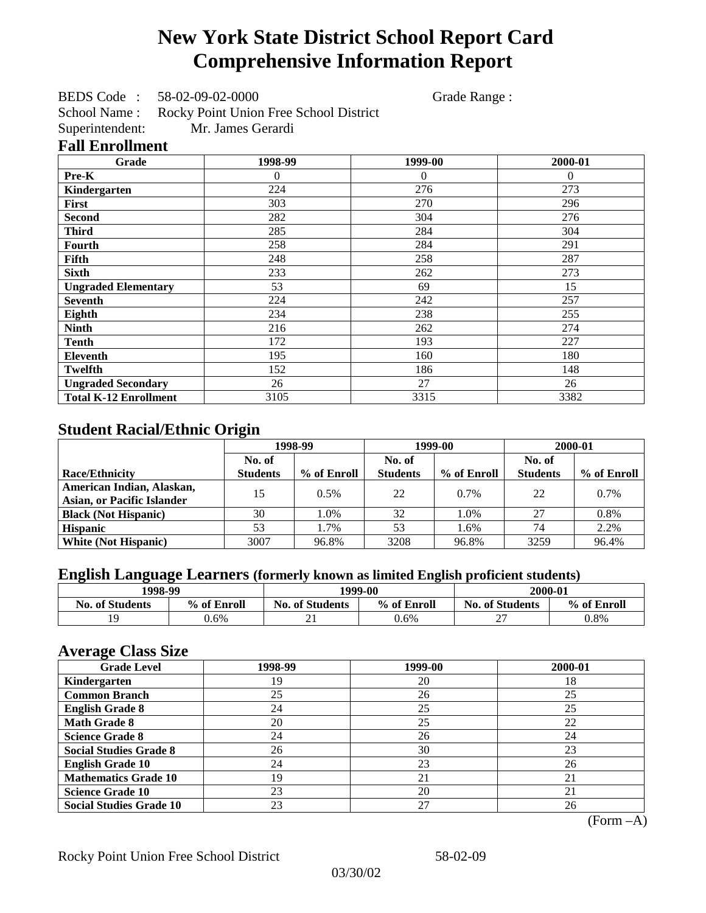# **New York State District School Report Card Comprehensive Information Report**

BEDS Code : 58-02-09-02-0000 Grade Range :

School Name : Rocky Point Union Free School District Superintendent: Mr. James Gerardi

### **Fall Enrollment**

| Grade                        | 1998-99        | 1999-00        | 2000-01  |
|------------------------------|----------------|----------------|----------|
| Pre-K                        | $\overline{0}$ | $\overline{0}$ | $\Omega$ |
| Kindergarten                 | 224            | 276            | 273      |
| <b>First</b>                 | 303            | 270            | 296      |
| <b>Second</b>                | 282            | 304            | 276      |
| <b>Third</b>                 | 285            | 284            | 304      |
| Fourth                       | 258            | 284            | 291      |
| Fifth                        | 248            | 258            | 287      |
| <b>Sixth</b>                 | 233            | 262            | 273      |
| <b>Ungraded Elementary</b>   | 53             | 69             | 15       |
| <b>Seventh</b>               | 224            | 242            | 257      |
| Eighth                       | 234            | 238            | 255      |
| <b>Ninth</b>                 | 216            | 262            | 274      |
| <b>Tenth</b>                 | 172            | 193            | 227      |
| Eleventh                     | 195            | 160            | 180      |
| <b>Twelfth</b>               | 152            | 186            | 148      |
| <b>Ungraded Secondary</b>    | 26             | 27             | 26       |
| <b>Total K-12 Enrollment</b> | 3105           | 3315           | 3382     |

## **Student Racial/Ethnic Origin**

|                                   | 1998-99         |             |                 | 1999-00     | 2000-01         |             |
|-----------------------------------|-----------------|-------------|-----------------|-------------|-----------------|-------------|
|                                   | No. of          |             | No. of          |             | No. of          |             |
| <b>Race/Ethnicity</b>             | <b>Students</b> | % of Enroll | <b>Students</b> | % of Enroll | <b>Students</b> | % of Enroll |
| American Indian, Alaskan,         | 15              | 0.5%        | 22              | 0.7%        | 22              | $0.7\%$     |
| <b>Asian, or Pacific Islander</b> |                 |             |                 |             |                 |             |
| <b>Black (Not Hispanic)</b>       | 30              | 1.0%        | 32              | 1.0%        | 27              | 0.8%        |
| <b>Hispanic</b>                   | 53              | 1.7%        | 53              | 1.6%        | 74              | 2.2%        |
| <b>White (Not Hispanic)</b>       | 3007            | 96.8%       | 3208            | 96.8%       | 3259            | 96.4%       |

### **English Language Learners (formerly known as limited English proficient students)**

| 1998-99                |             | 1999-00                |             | 2000-01                |             |
|------------------------|-------------|------------------------|-------------|------------------------|-------------|
| <b>No. of Students</b> | % of Enroll | <b>No. of Students</b> | % of Enroll | <b>No. of Students</b> | % of Enroll |
|                        | $0.6\%$     |                        | 0.6%        | $\sim$<br>∸            | 0.8%        |

### **Average Class Size**

| ---- <del>-</del> --<br><b>Grade Level</b> | 1998-99 | 1999-00 | 2000-01 |
|--------------------------------------------|---------|---------|---------|
| Kindergarten                               | 19      | 20      | 18      |
| <b>Common Branch</b>                       | 25      | 26      | 25      |
| <b>English Grade 8</b>                     | 24      | 25      | 25      |
| <b>Math Grade 8</b>                        | 20      | 25      | 22      |
| <b>Science Grade 8</b>                     | 24      | 26      | 24      |
| <b>Social Studies Grade 8</b>              | 26      | 30      | 23      |
| <b>English Grade 10</b>                    | 24      | 23      | 26      |
| <b>Mathematics Grade 10</b>                | 19      | 21      | 21      |
| <b>Science Grade 10</b>                    | 23      | 20      | 21      |
| <b>Social Studies Grade 10</b>             | 23      | 27      | 26      |

(Form –A)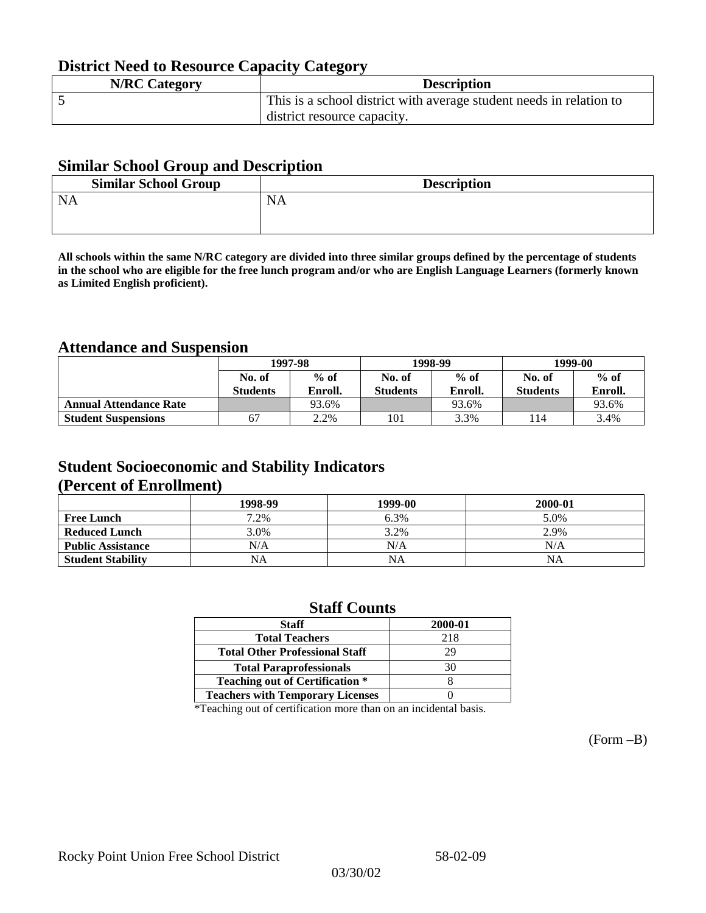## **District Need to Resource Capacity Category**

| <b>N/RC Category</b> | <b>Description</b>                                                  |
|----------------------|---------------------------------------------------------------------|
|                      | This is a school district with average student needs in relation to |
|                      | district resource capacity.                                         |

### **Similar School Group and Description**

| <b>Similar School Group</b> | <b>Description</b> |
|-----------------------------|--------------------|
| <b>NA</b>                   | <b>NA</b>          |
|                             |                    |

**All schools within the same N/RC category are divided into three similar groups defined by the percentage of students in the school who are eligible for the free lunch program and/or who are English Language Learners (formerly known as Limited English proficient).**

## **Attendance and Suspension**

|                               | 1997-98         |         |                 | 1998-99 | 1999-00         |         |
|-------------------------------|-----------------|---------|-----------------|---------|-----------------|---------|
|                               | No. of          | $%$ of  | No. of          | $%$ of  | No. of          | $%$ of  |
|                               | <b>Students</b> | Enroll. | <b>Students</b> | Enroll. | <b>Students</b> | Enroll. |
| <b>Annual Attendance Rate</b> |                 | 93.6%   |                 | 93.6%   |                 | 93.6%   |
| <b>Student Suspensions</b>    | 67              | 2.2%    | 101             | 3.3%    | 14              | 3.4%    |

## **Student Socioeconomic and Stability Indicators (Percent of Enrollment)**

|                          | 1998-99 | 1999-00   | 2000-01 |
|--------------------------|---------|-----------|---------|
| <b>Free Lunch</b>        | 7.2%    | 6.3%      | 5.0%    |
| <b>Reduced Lunch</b>     | 3.0%    | 3.2%      | 2.9%    |
| <b>Public Assistance</b> | N/A     | N/A       | N/A     |
| <b>Student Stability</b> | NA      | <b>NA</b> | NA      |

### **Staff Counts**

| 2000-01 |
|---------|
| 218     |
| 29      |
| 30      |
|         |
|         |
|         |

\*Teaching out of certification more than on an incidental basis.

(Form –B)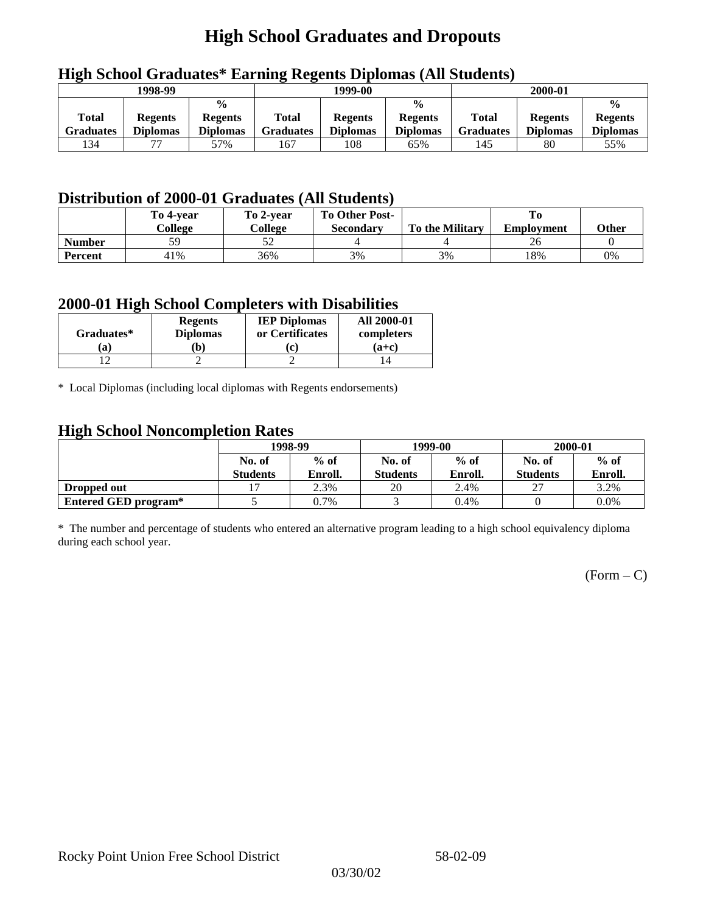## **High School Graduates and Dropouts**

|                    | 1998-99                           |                                                    | 1999-00            |                                   |                                                    | 2000-01                   |                                   |                                                    |
|--------------------|-----------------------------------|----------------------------------------------------|--------------------|-----------------------------------|----------------------------------------------------|---------------------------|-----------------------------------|----------------------------------------------------|
| Total<br>Graduates | <b>Regents</b><br><b>Diplomas</b> | $\frac{0}{0}$<br><b>Regents</b><br><b>Diplomas</b> | Total<br>Graduates | <b>Regents</b><br><b>Diplomas</b> | $\frac{6}{6}$<br><b>Regents</b><br><b>Diplomas</b> | Total<br><b>Graduates</b> | <b>Regents</b><br><b>Diplomas</b> | $\frac{0}{0}$<br><b>Regents</b><br><b>Diplomas</b> |
| 134                |                                   | 57%                                                | 167                | 108                               | 65%                                                | 145                       | 80                                | 55%                                                |

## **High School Graduates\* Earning Regents Diplomas (All Students)**

## **Distribution of 2000-01 Graduates (All Students)**

|               | To 4-vear | To 2-year | <b>To Other Post-</b> |                        |                   |       |
|---------------|-----------|-----------|-----------------------|------------------------|-------------------|-------|
|               | College   | College   | <b>Secondary</b>      | <b>To the Military</b> | <b>Employment</b> | Other |
| <b>Number</b> | 59        | ىدر       |                       |                        | 20                |       |
| Percent       | 41%       | 36%       | 3%                    | 3%                     | 18%               | 0%    |

### **2000-01 High School Completers with Disabilities**

| Graduates* | <b>Regents</b><br><b>Diplomas</b> | <b>IEP Diplomas</b><br>or Certificates | <b>All 2000-01</b><br>completers |  |
|------------|-----------------------------------|----------------------------------------|----------------------------------|--|
| 'a         | b)                                |                                        | $(a+c)$                          |  |
|            |                                   |                                        |                                  |  |

\* Local Diplomas (including local diplomas with Regents endorsements)

### **High School Noncompletion Rates**

| ັ                    | 1998-99         |         |                 | 1999-00 | 2000-01         |         |
|----------------------|-----------------|---------|-----------------|---------|-----------------|---------|
|                      | No. of          | $%$ of  | No. of          | $%$ of  | No. of          | $%$ of  |
|                      | <b>Students</b> | Enroll. | <b>Students</b> | Enroll. | <b>Students</b> | Enroll. |
| Dropped out          |                 | 2.3%    | 20              | 2.4%    | $\mathcal{L}$   | 3.2%    |
| Entered GED program* |                 | 0.7%    |                 | 0.4%    |                 | $0.0\%$ |

\* The number and percentage of students who entered an alternative program leading to a high school equivalency diploma during each school year.

 $(Form - C)$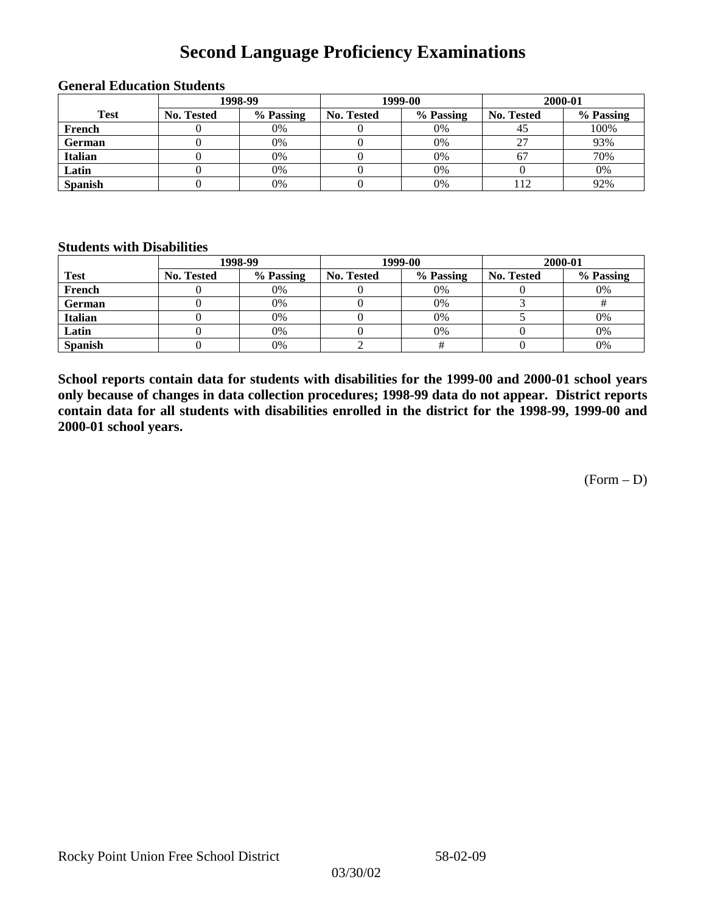## **Second Language Proficiency Examinations**

|                | 1998-99    |           |                   | 1999-00   | 2000-01    |           |  |
|----------------|------------|-----------|-------------------|-----------|------------|-----------|--|
| <b>Test</b>    | No. Tested | % Passing | <b>No. Tested</b> | % Passing | No. Tested | % Passing |  |
| French         |            | $0\%$     |                   | 0%        | 40         | 100%      |  |
| <b>German</b>  |            | 0%        |                   | 0%        |            | 93%       |  |
| <b>Italian</b> |            | $0\%$     |                   | 0%        | 67         | 70%       |  |
| Latin          |            | 0%        |                   | 0%        |            | 0%        |  |
| <b>Spanish</b> |            | 0%        |                   | 0%        |            | 92%       |  |

#### **General Education Students**

### **Students with Disabilities**

|                | 1998-99    |           |                   | 1999-00   | 2000-01           |           |  |
|----------------|------------|-----------|-------------------|-----------|-------------------|-----------|--|
| <b>Test</b>    | No. Tested | % Passing | <b>No. Tested</b> | % Passing | <b>No. Tested</b> | % Passing |  |
| French         |            | $0\%$     |                   | 0%        |                   | 0%        |  |
| German         |            | 0%        |                   | 0%        |                   |           |  |
| <b>Italian</b> |            | 0%        |                   | 0%        |                   | 0%        |  |
| Latin          |            | 0%        |                   | $0\%$     |                   | 0%        |  |
| <b>Spanish</b> |            | 0%        |                   |           |                   | 0%        |  |

**School reports contain data for students with disabilities for the 1999-00 and 2000-01 school years only because of changes in data collection procedures; 1998-99 data do not appear. District reports contain data for all students with disabilities enrolled in the district for the 1998-99, 1999-00 and 2000-01 school years.**

 $(Form - D)$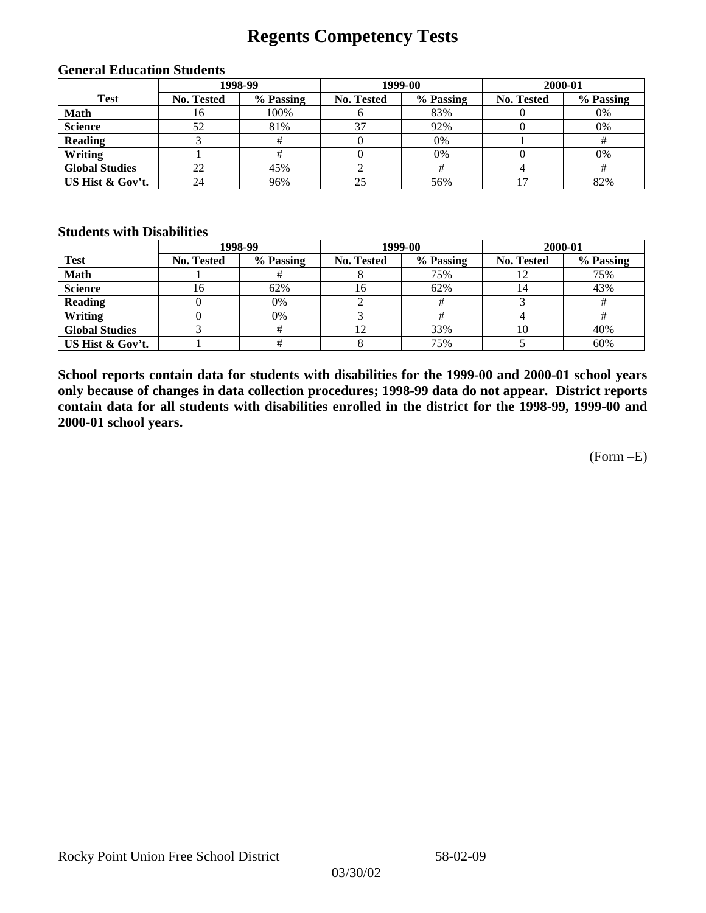## **Regents Competency Tests**

|                       | 1998-99    |           |            | 1999-00   | 2000-01           |           |  |
|-----------------------|------------|-----------|------------|-----------|-------------------|-----------|--|
| <b>Test</b>           | No. Tested | % Passing | No. Tested | % Passing | <b>No. Tested</b> | % Passing |  |
| <b>Math</b>           | 16         | 100%      |            | 83%       |                   | 0%        |  |
| <b>Science</b>        | 52         | 81%       | 37         | 92%       |                   | 0%        |  |
| <b>Reading</b>        |            |           |            | 0%        |                   |           |  |
| Writing               |            |           |            | 0%        |                   | 0%        |  |
| <b>Global Studies</b> | 22         | 45%       |            |           |                   |           |  |
| US Hist & Gov't.      | 24         | 96%       | 25         | 56%       |                   | 82%       |  |

#### **General Education Students**

### **Students with Disabilities**

|                       |                   | 1998-99   | 1999-00    |           | 2000-01           |           |
|-----------------------|-------------------|-----------|------------|-----------|-------------------|-----------|
| <b>Test</b>           | <b>No. Tested</b> | % Passing | No. Tested | % Passing | <b>No. Tested</b> | % Passing |
| <b>Math</b>           |                   |           |            | 75%       | 14                | 75%       |
| <b>Science</b>        | ιb                | 62%       | 16         | 62%       | 14                | 43%       |
| <b>Reading</b>        |                   | 0%        |            |           |                   |           |
| Writing               |                   | 0%        |            |           |                   |           |
| <b>Global Studies</b> |                   |           |            | 33%       | 10                | 40%       |
| US Hist & Gov't.      |                   |           |            | 75%       |                   | 60%       |

**School reports contain data for students with disabilities for the 1999-00 and 2000-01 school years only because of changes in data collection procedures; 1998-99 data do not appear. District reports contain data for all students with disabilities enrolled in the district for the 1998-99, 1999-00 and 2000-01 school years.**

(Form –E)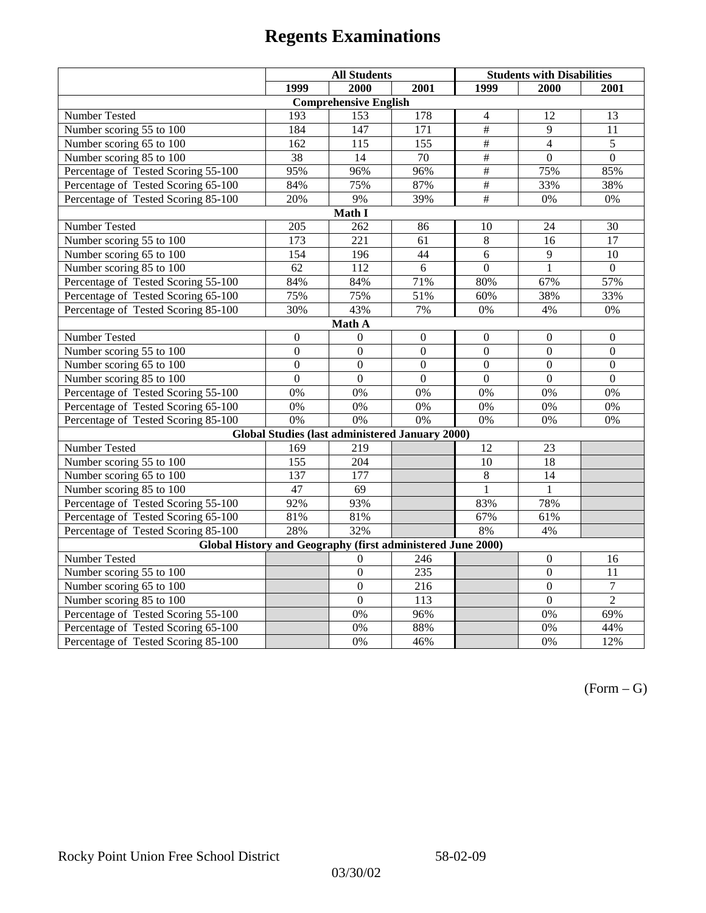|                                                             | <b>All Students</b> |                                                        |                   | <b>Students with Disabilities</b> |                  |                  |  |  |
|-------------------------------------------------------------|---------------------|--------------------------------------------------------|-------------------|-----------------------------------|------------------|------------------|--|--|
|                                                             | 1999                | 2000                                                   | 2001              | 1999                              | 2000             | 2001             |  |  |
|                                                             |                     | <b>Comprehensive English</b>                           |                   |                                   |                  |                  |  |  |
| Number Tested                                               | 193                 | 153                                                    | 178               | $\overline{4}$                    | 12               | 13               |  |  |
| Number scoring $55 \overline{\text{to } 100}$               | 184                 | 147                                                    | 171               | #                                 | 9                | 11               |  |  |
| Number scoring 65 to 100                                    | 162                 | 115                                                    | 155               | $\overline{\#}$                   | $\overline{4}$   | $\overline{5}$   |  |  |
| Number scoring 85 to 100                                    | 38                  | 14                                                     | 70                | #                                 | $\overline{0}$   | $\overline{0}$   |  |  |
| Percentage of Tested Scoring 55-100                         | 95%                 | 96%                                                    | 96%               | $\overline{\overline{t}}$         | 75%              | 85%              |  |  |
| Percentage of Tested Scoring 65-100                         | 84%                 | 75%                                                    | 87%               | $\overline{\overline{H}}$         | 33%              | 38%              |  |  |
| Percentage of Tested Scoring 85-100                         | 20%                 | 9%                                                     | 39%               | $\#$                              | 0%               | $0\%$            |  |  |
|                                                             |                     | Math I                                                 |                   |                                   |                  |                  |  |  |
| Number Tested<br>205<br>24<br>30<br>262<br>86<br>10         |                     |                                                        |                   |                                   |                  |                  |  |  |
| Number scoring 55 to 100                                    | 173                 | $\overline{221}$                                       | 61                | $\overline{8}$                    | 16               | $\overline{17}$  |  |  |
| Number scoring 65 to 100                                    | 154                 | 196                                                    | 44                | 6                                 | 9                | 10               |  |  |
| Number scoring 85 to 100                                    | 62                  | 112                                                    | 6                 | $\overline{0}$                    | 1                | $\mathbf{0}$     |  |  |
| Percentage of Tested Scoring 55-100                         | 84%                 | 84%                                                    | 71%               | 80%                               | 67%              | 57%              |  |  |
| Percentage of Tested Scoring 65-100                         | 75%                 | 75%                                                    | 51%               | 60%                               | 38%              | 33%              |  |  |
| Percentage of Tested Scoring 85-100                         | 30%                 | 43%                                                    | 7%                | 0%                                | 4%               | $0\%$            |  |  |
| Math A                                                      |                     |                                                        |                   |                                   |                  |                  |  |  |
| Number Tested                                               | $\boldsymbol{0}$    | $\Omega$                                               | $\boldsymbol{0}$  | $\boldsymbol{0}$                  | $\boldsymbol{0}$ | $\boldsymbol{0}$ |  |  |
| Number scoring $5\overline{5}$ to $100$                     | $\mathbf{0}$        | $\mathbf{0}$                                           | $\mathbf{0}$      | $\overline{0}$                    | $\mathbf{0}$     | $\mathbf{0}$     |  |  |
| Number scoring 65 to 100                                    | $\mathbf{0}$        | $\mathbf{0}$                                           | $\mathbf{0}$      | $\mathbf{0}$                      | $\mathbf{0}$     | $\mathbf{0}$     |  |  |
| Number scoring 85 to 100                                    | $\overline{0}$      | $\overline{0}$                                         | $\overline{0}$    | $\overline{0}$                    | $\mathbf{0}$     | $\mathbf{0}$     |  |  |
| Percentage of Tested Scoring 55-100                         | 0%                  | 0%                                                     | 0%                | 0%                                | 0%               | 0%               |  |  |
| Percentage of Tested Scoring 65-100                         | 0%                  | 0%                                                     | 0%                | 0%                                | 0%               | 0%               |  |  |
| Percentage of Tested Scoring 85-100                         | 0%                  | 0%                                                     | 0%                | $0\%$                             | 0%               | 0%               |  |  |
|                                                             |                     | <b>Global Studies (last administered January 2000)</b> |                   |                                   |                  |                  |  |  |
| Number Tested                                               | 169                 | 219                                                    |                   | 12                                | 23               |                  |  |  |
| Number scoring 55 to 100                                    | 155                 | 204                                                    |                   | 10                                | $\overline{18}$  |                  |  |  |
| Number scoring 65 to 100                                    | 137                 | 177                                                    |                   | $\overline{8}$                    | $\overline{14}$  |                  |  |  |
| Number scoring 85 to 100                                    | 47                  | 69                                                     |                   | 1                                 | 1                |                  |  |  |
| Percentage of Tested Scoring 55-100                         | 92%                 | 93%                                                    |                   | 83%                               | 78%              |                  |  |  |
| Percentage of Tested Scoring 65-100                         | 81%                 | 81%                                                    |                   | 67%                               | 61%              |                  |  |  |
| Percentage of Tested Scoring 85-100                         | 28%                 | 32%                                                    |                   | 8%                                | 4%               |                  |  |  |
| Global History and Geography (first administered June 2000) |                     |                                                        |                   |                                   |                  |                  |  |  |
| Number Tested                                               |                     | $\theta$                                               | 246               |                                   | $\mathbf{0}$     | 16               |  |  |
| Number scoring 55 to 100                                    |                     | $\boldsymbol{0}$                                       | 235               |                                   | $\mathbf{0}$     | 11               |  |  |
| Number scoring 65 to 100                                    |                     | $\overline{0}$                                         | 216               |                                   | $\overline{0}$   | $\overline{7}$   |  |  |
| Number scoring 85 to 100                                    |                     | $\overline{0}$                                         | 113               |                                   | $\overline{0}$   | $\overline{2}$   |  |  |
| Percentage of Tested Scoring 55-100                         |                     | 0%                                                     | $\overline{96\%}$ |                                   | 0%               | 69%              |  |  |
| Percentage of Tested Scoring 65-100                         |                     | 0%                                                     | 88%               |                                   | 0%               | 44%              |  |  |
| Percentage of Tested Scoring 85-100                         |                     | 0%                                                     | 46%               |                                   | 0%               | 12%              |  |  |

 $(Form - G)$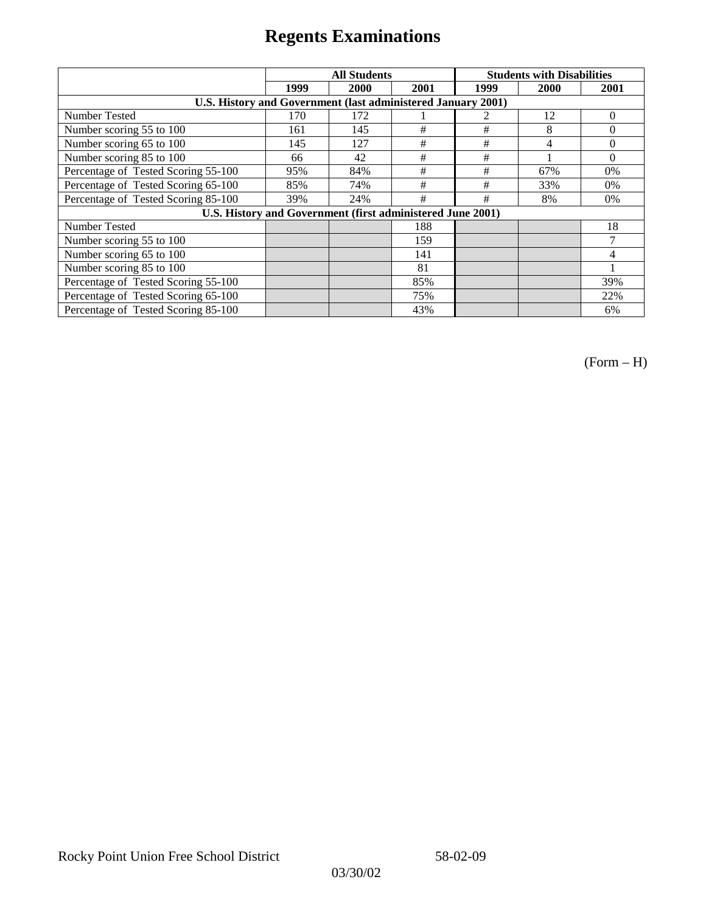|                                                              | <b>All Students</b> |                                                            |      | <b>Students with Disabilities</b> |      |          |
|--------------------------------------------------------------|---------------------|------------------------------------------------------------|------|-----------------------------------|------|----------|
|                                                              | 1999                | 2000                                                       | 2001 | 1999                              | 2000 | 2001     |
| U.S. History and Government (last administered January 2001) |                     |                                                            |      |                                   |      |          |
| Number Tested                                                | 170                 | 172                                                        |      |                                   | 12   | $\theta$ |
| Number scoring 55 to 100                                     | 161                 | 145                                                        | #    | #                                 | 8    | $\Omega$ |
| Number scoring 65 to 100                                     | 145                 | 127                                                        | #    | #                                 | 4    | $\Omega$ |
| Number scoring 85 to 100                                     | 66                  | 42                                                         | #    | #                                 |      | $\Omega$ |
| Percentage of Tested Scoring 55-100                          | 95%                 | 84%                                                        | $\#$ | #                                 | 67%  | 0%       |
| Percentage of Tested Scoring 65-100                          | 85%                 | 74%                                                        | #    | #                                 | 33%  | $0\%$    |
| Percentage of Tested Scoring 85-100                          | 39%                 | 24%                                                        | #    | #                                 | 8%   | $0\%$    |
|                                                              |                     | U.S. History and Government (first administered June 2001) |      |                                   |      |          |
| <b>Number Tested</b>                                         |                     |                                                            | 188  |                                   |      | 18       |
| Number scoring 55 to 100                                     |                     |                                                            | 159  |                                   |      | 7        |
| Number scoring 65 to 100                                     |                     |                                                            | 141  |                                   |      | 4        |
| Number scoring 85 to 100                                     |                     |                                                            | 81   |                                   |      |          |
| Percentage of Tested Scoring 55-100                          |                     |                                                            | 85%  |                                   |      | 39%      |
| Percentage of Tested Scoring 65-100                          |                     |                                                            | 75%  |                                   |      | 22%      |
| Percentage of Tested Scoring 85-100                          |                     |                                                            | 43%  |                                   |      | 6%       |

(Form – H)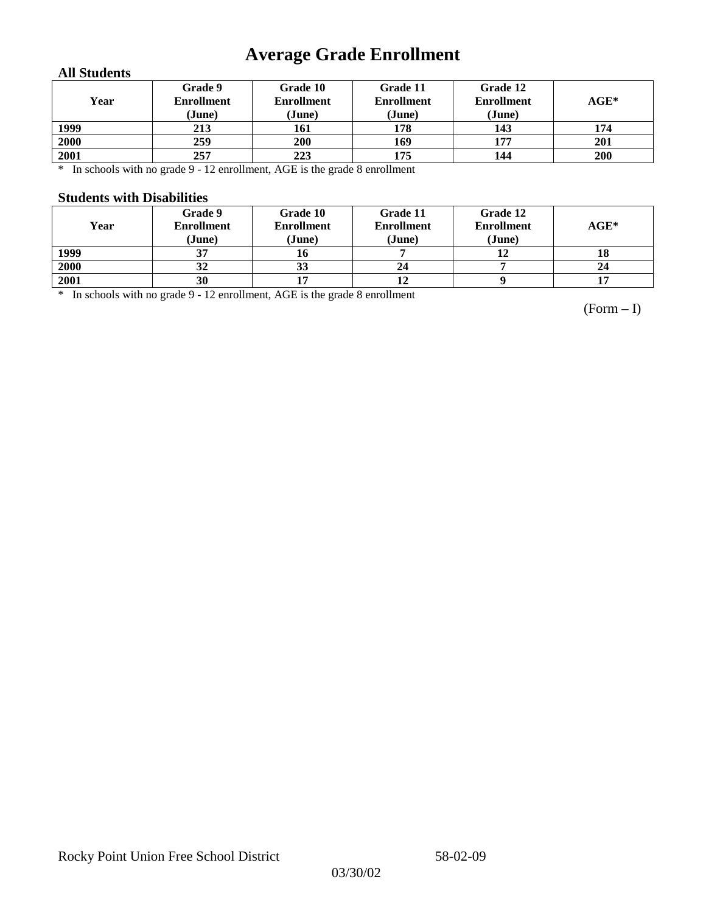## **Average Grade Enrollment**

### **All Students**

| Year | Grade 9<br><b>Enrollment</b><br>(June) | Grade 10<br><b>Enrollment</b><br>(June) | Grade 11<br><b>Enrollment</b><br>(June) | Grade 12<br><b>Enrollment</b><br>(June) | $AGE^*$ |
|------|----------------------------------------|-----------------------------------------|-----------------------------------------|-----------------------------------------|---------|
| 1999 | 213                                    | 161                                     | 178                                     | 143                                     | 174     |
| 2000 | 259                                    | 200                                     | 169                                     | 177                                     | 201     |
| 2001 | 257                                    | 223                                     | 175                                     | 144                                     | 200     |

\* In schools with no grade 9 - 12 enrollment, AGE is the grade 8 enrollment

### **Students with Disabilities**

| Year | Grade 9<br><b>Enrollment</b><br>(June) | Grade 10<br><b>Enrollment</b><br>(June) | Grade 11<br><b>Enrollment</b><br>(June) | Grade 12<br><b>Enrollment</b><br>(June) | $AGE*$ |
|------|----------------------------------------|-----------------------------------------|-----------------------------------------|-----------------------------------------|--------|
| 1999 | 37                                     |                                         |                                         |                                         | 18     |
| 2000 | 32                                     | 33                                      | 24                                      |                                         | 24     |
| 2001 | 30                                     |                                         |                                         |                                         | 17     |

\* In schools with no grade 9 - 12 enrollment, AGE is the grade 8 enrollment

(Form – I)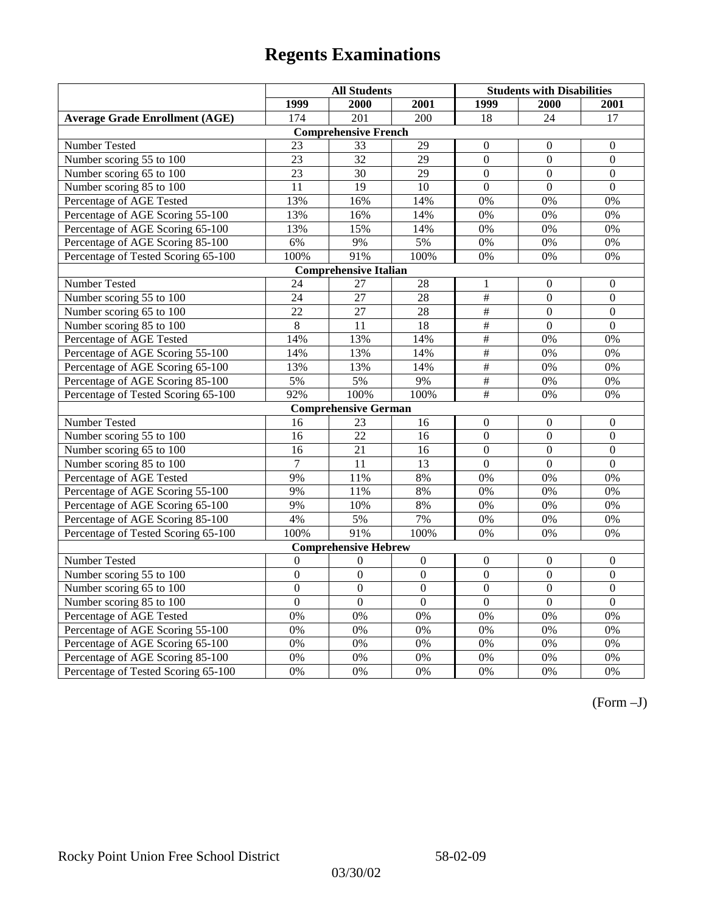|                                       | <b>All Students</b> |                              |                 | <b>Students with Disabilities</b> |                |                  |
|---------------------------------------|---------------------|------------------------------|-----------------|-----------------------------------|----------------|------------------|
|                                       | 1999                | 2000                         | 2001            | 1999                              | 2000           | 2001             |
| <b>Average Grade Enrollment (AGE)</b> | 174                 | 201                          | 200             | 18                                | 24             | 17               |
|                                       |                     | <b>Comprehensive French</b>  |                 |                                   |                |                  |
| Number Tested                         | 23                  | 33                           | 29              | $\overline{0}$                    | $\mathbf{0}$   | $\mathbf{0}$     |
| Number scoring 55 to 100              | 23                  | 32                           | 29              | $\overline{0}$                    | $\mathbf{0}$   | $\mathbf{0}$     |
| Number scoring 65 to 100              | 23                  | 30                           | 29              | $\overline{0}$                    | $\mathbf{0}$   | $\mathbf{0}$     |
| Number scoring 85 to 100              | 11                  | 19                           | 10              | $\overline{0}$                    | $\mathbf{0}$   | $\mathbf{0}$     |
| Percentage of AGE Tested              | 13%                 | 16%                          | 14%             | $0\%$                             | 0%             | 0%               |
| Percentage of AGE Scoring 55-100      | 13%                 | 16%                          | 14%             | 0%                                | 0%             | 0%               |
| Percentage of AGE Scoring 65-100      | 13%                 | 15%                          | 14%             | 0%                                | 0%             | 0%               |
| Percentage of AGE Scoring 85-100      | 6%                  | 9%                           | 5%              | $0\%$                             | $0\%$          | $0\%$            |
| Percentage of Tested Scoring 65-100   | 100%                | 91%                          | 100%            | 0%                                | 0%             | 0%               |
|                                       |                     | <b>Comprehensive Italian</b> |                 |                                   |                |                  |
| Number Tested                         | 24                  | 27                           | 28              | 1                                 | $\theta$       | $\boldsymbol{0}$ |
| Number scoring 55 to 100              | 24                  | 27                           | 28              | $\frac{1}{2}$                     | $\mathbf{0}$   | $\boldsymbol{0}$ |
| Number scoring 65 to 100              | $\overline{22}$     | $\overline{27}$              | $\overline{28}$ | $\overline{\#}$                   | $\overline{0}$ | $\mathbf{0}$     |
| Number scoring 85 to 100              | 8                   | 11                           | 18              | $\#$                              | $\mathbf{0}$   | $\mathbf{0}$     |
| Percentage of AGE Tested              | 14%                 | 13%                          | 14%             | $\#$                              | 0%             | 0%               |
| Percentage of AGE Scoring 55-100      | 14%                 | 13%                          | 14%             | #                                 | 0%             | 0%               |
| Percentage of AGE Scoring 65-100      | 13%                 | 13%                          | 14%             | $\overline{\#}$                   | 0%             | 0%               |
| Percentage of AGE Scoring 85-100      | 5%                  | 5%                           | 9%              | $\frac{1}{2}$                     | 0%             | 0%               |
| Percentage of Tested Scoring 65-100   | 92%                 | 100%                         | 100%            | $\overline{\overline{t}}$         | 0%             | 0%               |
|                                       |                     | <b>Comprehensive German</b>  |                 |                                   |                |                  |
| Number Tested                         | 16                  | 23                           | 16              | $\mathbf{0}$                      | $\mathbf{0}$   | $\boldsymbol{0}$ |
| Number scoring 55 to 100              | 16                  | $\overline{22}$              | 16              | $\overline{0}$                    | $\overline{0}$ | $\mathbf{0}$     |
| Number scoring 65 to 100              | 16                  | 21                           | 16              | $\overline{0}$                    | $\mathbf{0}$   | $\boldsymbol{0}$ |
| Number scoring 85 to 100              | $\overline{7}$      | 11                           | 13              | $\overline{0}$                    | $\overline{0}$ | $\overline{0}$   |
| Percentage of AGE Tested              | 9%                  | 11%                          | 8%              | 0%                                | 0%             | 0%               |
| Percentage of AGE Scoring 55-100      | 9%                  | 11%                          | $8\%$           | 0%                                | 0%             | 0%               |
| Percentage of AGE Scoring 65-100      | 9%                  | 10%                          | 8%              | 0%                                | 0%             | 0%               |
| Percentage of AGE Scoring 85-100      | 4%                  | 5%                           | 7%              | 0%                                | 0%             | 0%               |
| Percentage of Tested Scoring 65-100   | 100%                | 91%                          | 100%            | 0%                                | 0%             | 0%               |
|                                       |                     | <b>Comprehensive Hebrew</b>  |                 |                                   |                |                  |
| <b>Number Tested</b>                  | $\mathbf{0}$        | $\mathbf{0}$                 | $\mathbf{0}$    | $\overline{0}$                    | $\mathbf{0}$   | $\mathbf{0}$     |
| Number scoring 55 to 100              | $\boldsymbol{0}$    | $\boldsymbol{0}$             | $\overline{0}$  | $\mathbf{0}$                      | $\mathbf{0}$   | $\boldsymbol{0}$ |
| Number scoring 65 to 100              | $\boldsymbol{0}$    | $\mathbf{0}$                 | $\overline{0}$  | $\overline{0}$                    | $\mathbf{0}$   | $\mathbf{0}$     |
| Number scoring 85 to 100              | $\mathbf{0}$        | $\mathbf{0}$                 | $\mathbf{0}$    | $\mathbf{0}$                      | $\mathbf{0}$   | $\boldsymbol{0}$ |
| Percentage of AGE Tested              | 0%                  | 0%                           | 0%              | 0%                                | 0%             | 0%               |
| Percentage of AGE Scoring 55-100      | 0%                  | 0%                           | 0%              | 0%                                | 0%             | 0%               |
| Percentage of AGE Scoring 65-100      | 0%                  | 0%                           | 0%              | 0%                                | 0%             | 0%               |
| Percentage of AGE Scoring 85-100      | 0%                  | 0%                           | 0%              | $0\%$                             | 0%             | 0%               |
| Percentage of Tested Scoring 65-100   | 0%                  | 0%                           | 0%              | 0%                                | 0%             | 0%               |

(Form –J)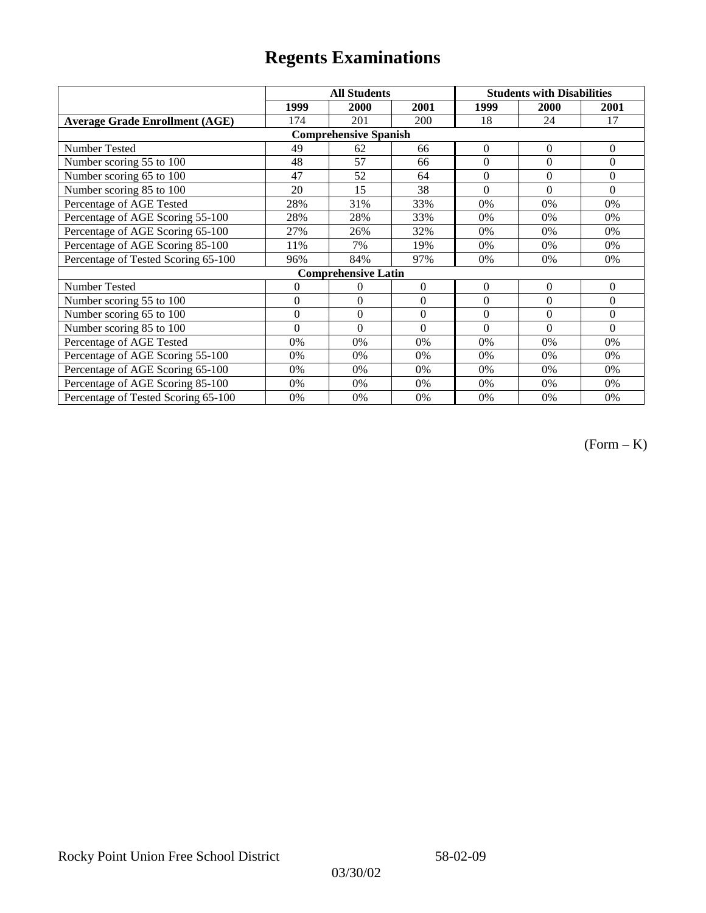|                                       |                | <b>All Students</b>          |          | <b>Students with Disabilities</b> |              |                |
|---------------------------------------|----------------|------------------------------|----------|-----------------------------------|--------------|----------------|
|                                       | 1999           | 2000                         | 2001     | 1999                              | <b>2000</b>  | 2001           |
| <b>Average Grade Enrollment (AGE)</b> | 174            | 201                          | 200      | 18                                | 24           | 17             |
|                                       |                | <b>Comprehensive Spanish</b> |          |                                   |              |                |
| <b>Number Tested</b>                  | 49             | 62                           | 66       | $\overline{0}$                    | $\mathbf{0}$ | $\mathbf{0}$   |
| Number scoring 55 to 100              | 48             | 57                           | 66       | $\theta$                          | $\theta$     | $\theta$       |
| Number scoring 65 to 100              | 47             | 52                           | 64       | $\boldsymbol{0}$                  | $\theta$     | $\mathbf{0}$   |
| Number scoring 85 to 100              | 20             | 15                           | 38       | $\theta$                          | $\theta$     | $\Omega$       |
| Percentage of AGE Tested              | 28%            | 31%                          | 33%      | 0%                                | 0%           | $0\%$          |
| Percentage of AGE Scoring 55-100      | 28%            | 28%                          | 33%      | 0%                                | 0%           | 0%             |
| Percentage of AGE Scoring 65-100      | 27%            | 26%                          | 32%      | 0%                                | 0%           | 0%             |
| Percentage of AGE Scoring 85-100      | 11%            | 7%                           | 19%      | 0%                                | 0%           | 0%             |
| Percentage of Tested Scoring 65-100   | 96%            | 84%                          | 97%      | 0%                                | $0\%$        | 0%             |
|                                       |                | <b>Comprehensive Latin</b>   |          |                                   |              |                |
| Number Tested                         | $\overline{0}$ | 0                            | $\Omega$ | $\theta$                          | $\theta$     | $\overline{0}$ |
| Number scoring 55 to 100              | $\mathbf{0}$   | $\mathbf{0}$                 | $\theta$ | $\theta$                          | $\theta$     | $\mathbf{0}$   |
| Number scoring 65 to 100              | $\mathbf{0}$   | $\mathbf{0}$                 | $\Omega$ | $\theta$                          | $\theta$     | $\Omega$       |
| Number scoring 85 to 100              | $\theta$       | $\theta$                     | $\Omega$ | $\theta$                          | $\Omega$     | $\Omega$       |
| Percentage of AGE Tested              | 0%             | 0%                           | 0%       | 0%                                | 0%           | 0%             |
| Percentage of AGE Scoring 55-100      | 0%             | 0%                           | 0%       | 0%                                | 0%           | 0%             |
| Percentage of AGE Scoring 65-100      | 0%             | 0%                           | 0%       | 0%                                | 0%           | 0%             |
| Percentage of AGE Scoring 85-100      | 0%             | 0%                           | 0%       | 0%                                | $0\%$        | $0\%$          |
| Percentage of Tested Scoring 65-100   | 0%             | 0%                           | 0%       | 0%                                | $0\%$        | $0\%$          |

(Form – K)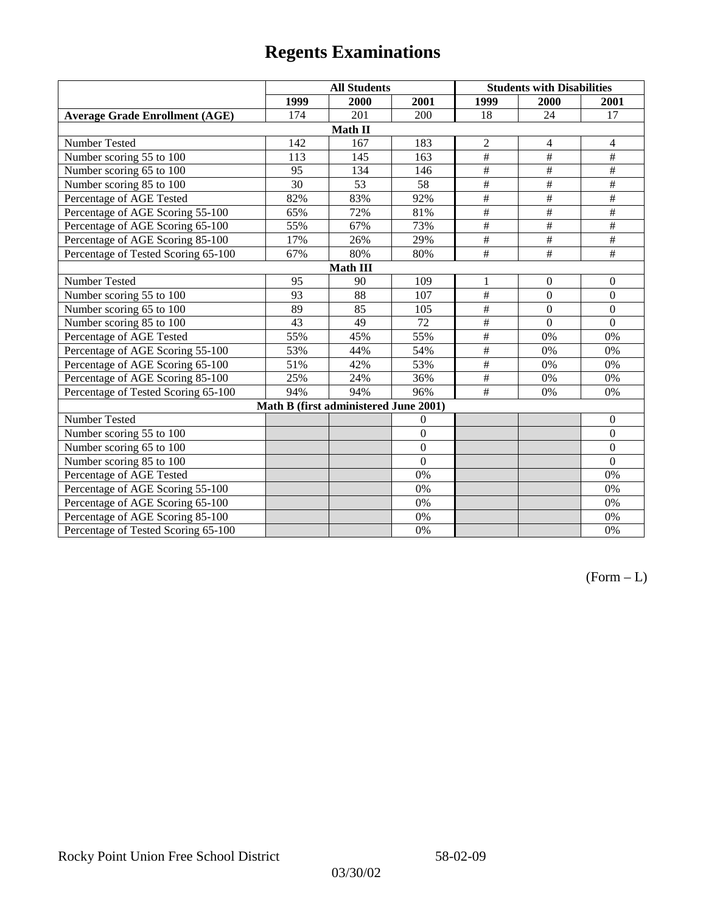|                                       | <b>All Students</b> |                                       |                |                           | <b>Students with Disabilities</b> |                  |  |  |
|---------------------------------------|---------------------|---------------------------------------|----------------|---------------------------|-----------------------------------|------------------|--|--|
|                                       | 1999                | 2000                                  | 2001           | 1999                      | 2000                              | 2001             |  |  |
| <b>Average Grade Enrollment (AGE)</b> | 174                 | 201                                   | 200            | 18                        | 24                                | 17               |  |  |
|                                       |                     | Math II                               |                |                           |                                   |                  |  |  |
| Number Tested                         | 142                 | 167                                   | 183            | $\overline{c}$            | 4                                 | $\overline{4}$   |  |  |
| Number scoring 55 to 100              | 113                 | 145                                   | 163            | $\overline{+}$            | $\#$                              | $\#$             |  |  |
| Number scoring 65 to 100              | 95                  | 134                                   | 146            | $\overline{+}$            | $\overline{+}$                    | $\#$             |  |  |
| Number scoring 85 to 100              | $\overline{30}$     | 53                                    | 58             | $\overline{\overline{t}}$ | $\overline{+}$                    | $\overline{+}$   |  |  |
| Percentage of AGE Tested              | 82%                 | 83%                                   | 92%            | $\overline{\overline{H}}$ | $\overline{+}$                    | $\#$             |  |  |
| Percentage of AGE Scoring 55-100      | 65%                 | 72%                                   | 81%            | $\#$                      | $\#$                              | $\#$             |  |  |
| Percentage of AGE Scoring 65-100      | 55%                 | 67%                                   | 73%            | $\overline{\#}$           | $\overline{+}$                    | $\overline{+}$   |  |  |
| Percentage of AGE Scoring 85-100      | 17%                 | 26%                                   | 29%            | $\frac{1}{2}$             | $\overline{\#}$                   | $\frac{1}{2}$    |  |  |
| Percentage of Tested Scoring 65-100   | 67%                 | 80%                                   | 80%            | $\#$                      | $\#$                              | $\#$             |  |  |
| <b>Math III</b>                       |                     |                                       |                |                           |                                   |                  |  |  |
| Number Tested                         | 95                  | 90                                    | 109            | 1                         | $\mathbf{0}$                      | $\boldsymbol{0}$ |  |  |
| Number scoring 55 to 100              | 93                  | 88                                    | 107            | $\#$                      | $\boldsymbol{0}$                  | $\boldsymbol{0}$ |  |  |
| Number scoring 65 to 100              | 89                  | 85                                    | 105            | $\overline{\#}$           | $\mathbf{0}$                      | $\mathbf{0}$     |  |  |
| Number scoring 85 to 100              | 43                  | 49                                    | 72             | $\#$                      | $\overline{0}$                    | $\mathbf{0}$     |  |  |
| Percentage of AGE Tested              | 55%                 | 45%                                   | 55%            | $\overline{\#}$           | 0%                                | $0\%$            |  |  |
| Percentage of AGE Scoring 55-100      | 53%                 | 44%                                   | 54%            | $\frac{1}{2}$             | 0%                                | 0%               |  |  |
| Percentage of AGE Scoring 65-100      | 51%                 | 42%                                   | 53%            | $\frac{1}{2}$             | 0%                                | 0%               |  |  |
| Percentage of AGE Scoring 85-100      | 25%                 | 24%                                   | 36%            | $\overline{\overline{t}}$ | 0%                                | $0\%$            |  |  |
| Percentage of Tested Scoring 65-100   | 94%                 | 94%                                   | 96%            | #                         | 0%                                | 0%               |  |  |
|                                       |                     | Math B (first administered June 2001) |                |                           |                                   |                  |  |  |
| Number Tested                         |                     |                                       | $\overline{0}$ |                           |                                   | $\boldsymbol{0}$ |  |  |
| Number scoring 55 to 100              |                     |                                       | $\overline{0}$ |                           |                                   | $\boldsymbol{0}$ |  |  |
| Number scoring 65 to 100              |                     |                                       | $\overline{0}$ |                           |                                   | $\mathbf{0}$     |  |  |
| Number scoring 85 to 100              |                     |                                       | $\overline{0}$ |                           |                                   | $\mathbf{0}$     |  |  |
| Percentage of AGE Tested              |                     |                                       | 0%             |                           |                                   | 0%               |  |  |
| Percentage of AGE Scoring 55-100      |                     |                                       | 0%             |                           |                                   | 0%               |  |  |
| Percentage of AGE Scoring 65-100      |                     |                                       | 0%             |                           |                                   | 0%               |  |  |
| Percentage of AGE Scoring 85-100      |                     |                                       | 0%             |                           |                                   | 0%               |  |  |
| Percentage of Tested Scoring 65-100   |                     |                                       | 0%             |                           |                                   | 0%               |  |  |

 $(Form - L)$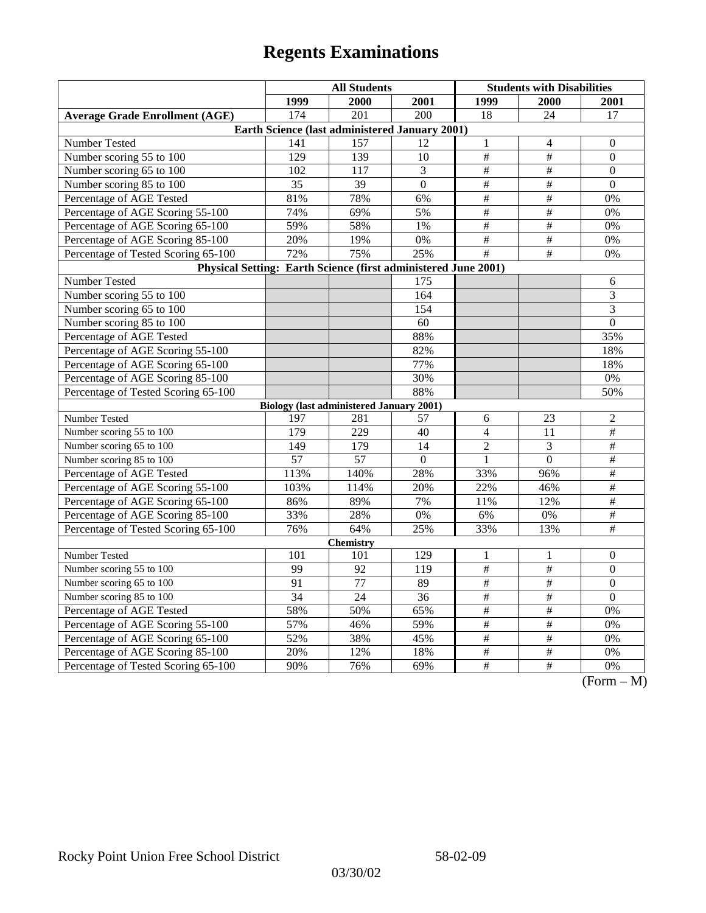|                                                                | <b>All Students</b>                             |                  |                  | <b>Students with Disabilities</b> |                          |                                |  |  |
|----------------------------------------------------------------|-------------------------------------------------|------------------|------------------|-----------------------------------|--------------------------|--------------------------------|--|--|
|                                                                | 1999                                            | 2000             | 2001             | 1999                              | <b>2000</b>              | 2001                           |  |  |
| <b>Average Grade Enrollment (AGE)</b>                          | 174                                             | 201              | 200              | 18                                | 24                       | 17                             |  |  |
| Earth Science (last administered January 2001)                 |                                                 |                  |                  |                                   |                          |                                |  |  |
| Number Tested                                                  | 141                                             | 157              | 12               | $\,1\,$                           | 4                        | $\boldsymbol{0}$               |  |  |
| Number scoring 55 to 100                                       | 129                                             | $13\overline{9}$ | 10               | $\#$                              | $\#$                     | $\boldsymbol{0}$               |  |  |
| Number scoring 65 to 100                                       | 102                                             | 117              | 3                | $\#$                              | $\#$                     | $\theta$                       |  |  |
| Number scoring 85 to 100                                       | 35                                              | 39               | $\overline{0}$   | $\overline{\#}$                   | $\overline{\overline{}}$ | $\mathbf{0}$                   |  |  |
| Percentage of AGE Tested                                       | 81%                                             | 78%              | 6%               | $\overline{\#}$                   | $\overline{\#}$          | 0%                             |  |  |
| Percentage of AGE Scoring 55-100                               | 74%                                             | 69%              | 5%               | $\#$                              | $\#$                     | 0%                             |  |  |
| Percentage of AGE Scoring 65-100                               | 59%                                             | 58%              | 1%               | $\#$                              | $\#$                     | 0%                             |  |  |
| Percentage of AGE Scoring 85-100                               | 20%                                             | 19%              | 0%               | $\overline{\#}$                   | #                        | 0%                             |  |  |
| Percentage of Tested Scoring 65-100                            | 72%                                             | 75%              | 25%              | $\overline{\#}$                   | $\overline{+}$           | 0%                             |  |  |
| Physical Setting: Earth Science (first administered June 2001) |                                                 |                  |                  |                                   |                          |                                |  |  |
| Number Tested                                                  |                                                 |                  | 175              |                                   |                          | 6                              |  |  |
| Number scoring 55 to 100                                       |                                                 |                  | $\overline{164}$ |                                   |                          | 3                              |  |  |
| Number scoring 65 to 100                                       |                                                 |                  | 154              |                                   |                          | 3                              |  |  |
| Number scoring 85 to 100                                       |                                                 |                  | 60               |                                   |                          | $\boldsymbol{0}$               |  |  |
| Percentage of AGE Tested                                       |                                                 |                  | 88%              |                                   |                          | 35%                            |  |  |
| Percentage of AGE Scoring 55-100                               |                                                 |                  | 82%              |                                   |                          | 18%                            |  |  |
| Percentage of AGE Scoring 65-100                               |                                                 |                  | 77%              |                                   |                          | 18%                            |  |  |
| Percentage of AGE Scoring 85-100                               |                                                 |                  | 30%              |                                   |                          | $0\%$                          |  |  |
| Percentage of Tested Scoring 65-100                            |                                                 |                  | 88%              |                                   |                          | 50%                            |  |  |
|                                                                | <b>Biology (last administered January 2001)</b> |                  |                  |                                   |                          |                                |  |  |
| Number Tested                                                  | 197                                             | 281              | 57               | 6                                 | 23                       | $\overline{c}$                 |  |  |
| Number scoring 55 to 100                                       | 179                                             | 229              | 40               | $\overline{4}$                    | 11                       | #                              |  |  |
| Number scoring 65 to 100                                       | 149                                             | 179              | 14               | $\overline{2}$                    | 3                        | $\#$                           |  |  |
| Number scoring 85 to 100                                       | $\overline{57}$                                 | $\overline{57}$  | $\Omega$         | $\mathbf{1}$                      | $\theta$                 | $\overline{\ddot{}}$           |  |  |
| Percentage of AGE Tested                                       | 113%                                            | 140%             | 28%              | 33%                               | 96%                      | $\overline{\#}$                |  |  |
| Percentage of AGE Scoring 55-100                               | 103%                                            | 114%             | 20%              | 22%                               | 46%                      | $\overline{\#}$                |  |  |
| Percentage of AGE Scoring 65-100                               | 86%                                             | 89%              | 7%               | 11%                               | 12%                      | $\#$                           |  |  |
| Percentage of AGE Scoring 85-100                               | 33%                                             | 28%              | $0\%$            | 6%                                | 0%                       | $\#$                           |  |  |
| Percentage of Tested Scoring 65-100                            | 76%                                             | 64%              | 25%              | 33%                               | 13%                      | $\overline{+}$                 |  |  |
| <b>Chemistry</b>                                               |                                                 |                  |                  |                                   |                          |                                |  |  |
| Number Tested                                                  | 101                                             | 101              | 129              | 1                                 | 1                        | $\mathbf{0}$                   |  |  |
| Number scoring 55 to 100                                       | 99                                              | 92               | 119              | $\frac{1}{2}$                     | $\overline{\overline{}}$ | $\mathbf{0}$                   |  |  |
| Number scoring 65 to 100                                       | 91                                              | $\overline{77}$  | 89               | $\overline{\#}$                   | $\overline{\overline{}}$ | $\overline{0}$                 |  |  |
| Number scoring 85 to 100                                       | 34                                              | 24               | 36               | $\#$                              | $\#$                     | $\boldsymbol{0}$               |  |  |
| Percentage of AGE Tested                                       | 58%                                             | 50%              | 65%              | $\#$                              | $\#$                     | 0%                             |  |  |
| Percentage of AGE Scoring 55-100                               | 57%                                             | 46%              | 59%              | #                                 | #                        | 0%                             |  |  |
| Percentage of AGE Scoring 65-100                               | 52%                                             | 38%              | 45%              | $\overline{\#}$                   | $\overline{\overline{}}$ | 0%                             |  |  |
| Percentage of AGE Scoring 85-100                               | 20%                                             | 12%              | 18%              | #                                 | #                        | 0%                             |  |  |
| Percentage of Tested Scoring 65-100                            | 90%                                             | 76%              | 69%              | $\#$                              | $\#$                     | 0%<br>$\Gamma$<br>$\mathbf{M}$ |  |  |

 $(Form - M)$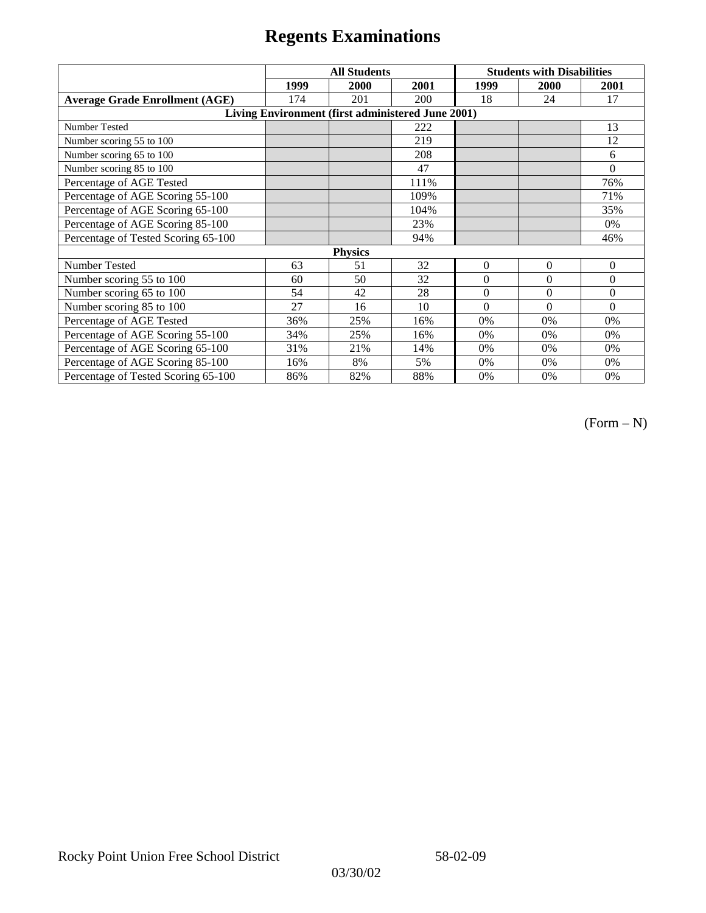|                                                   | <b>All Students</b> |      |      | <b>Students with Disabilities</b> |                |          |  |  |
|---------------------------------------------------|---------------------|------|------|-----------------------------------|----------------|----------|--|--|
|                                                   | 1999                | 2000 | 2001 | 1999                              | 2000           | 2001     |  |  |
| <b>Average Grade Enrollment (AGE)</b>             | 174                 | 201  | 200  | 18                                | 24             | 17       |  |  |
| Living Environment (first administered June 2001) |                     |      |      |                                   |                |          |  |  |
| <b>Number Tested</b>                              |                     |      | 222  |                                   |                | 13       |  |  |
| Number scoring 55 to 100                          |                     |      | 219  |                                   |                | 12       |  |  |
| Number scoring 65 to 100                          |                     |      | 208  |                                   |                | 6        |  |  |
| Number scoring 85 to 100                          |                     |      | 47   |                                   |                | $\theta$ |  |  |
| Percentage of AGE Tested                          |                     |      | 111% |                                   |                | 76%      |  |  |
| Percentage of AGE Scoring 55-100                  |                     |      | 109% |                                   |                | 71%      |  |  |
| Percentage of AGE Scoring 65-100                  |                     |      | 104% |                                   |                | 35%      |  |  |
| Percentage of AGE Scoring 85-100                  |                     |      | 23%  |                                   |                | $0\%$    |  |  |
| Percentage of Tested Scoring 65-100               |                     |      | 94%  |                                   |                | 46%      |  |  |
| <b>Physics</b>                                    |                     |      |      |                                   |                |          |  |  |
| Number Tested                                     | 63                  | 51   | 32   | $\Omega$                          | $\overline{0}$ | $\theta$ |  |  |
| Number scoring 55 to 100                          | 60                  | 50   | 32   | $\Omega$                          | $\theta$       | $\theta$ |  |  |
| Number scoring 65 to 100                          | 54                  | 42   | 28   | $\Omega$                          | $\theta$       | $\theta$ |  |  |
| Number scoring 85 to 100                          | 27                  | 16   | 10   | $\Omega$                          | $\Omega$       | $\Omega$ |  |  |
| Percentage of AGE Tested                          | 36%                 | 25%  | 16%  | 0%                                | 0%             | 0%       |  |  |
| Percentage of AGE Scoring 55-100                  | 34%                 | 25%  | 16%  | 0%                                | 0%             | 0%       |  |  |
| Percentage of AGE Scoring 65-100                  | 31%                 | 21%  | 14%  | 0%                                | 0%             | 0%       |  |  |
| Percentage of AGE Scoring 85-100                  | 16%                 | 8%   | 5%   | 0%                                | 0%             | 0%       |  |  |
| Percentage of Tested Scoring 65-100               | 86%                 | 82%  | 88%  | 0%                                | 0%             | 0%       |  |  |

(Form – N)